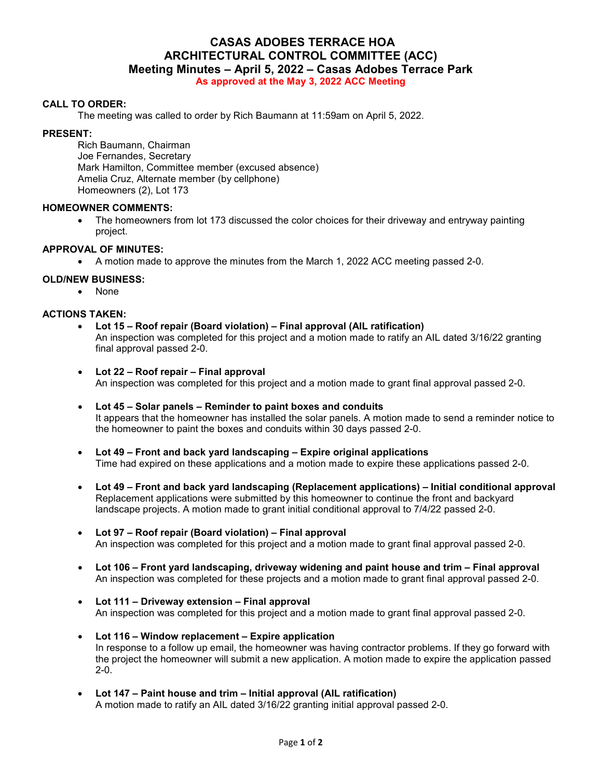# **CASAS ADOBES TERRACE HOA ARCHITECTURAL CONTROL COMMITTEE (ACC) Meeting Minutes – April 5, 2022 – Casas Adobes Terrace Park**

**As approved at the May 3, 2022 ACC Meeting** 

#### **CALL TO ORDER:**

The meeting was called to order by Rich Baumann at 11:59am on April 5, 2022.

#### **PRESENT:**

Rich Baumann, Chairman Joe Fernandes, Secretary Mark Hamilton, Committee member (excused absence) Amelia Cruz, Alternate member (by cellphone) Homeowners (2), Lot 173

#### **HOMEOWNER COMMENTS:**

• The homeowners from lot 173 discussed the color choices for their driveway and entryway painting project.

## **APPROVAL OF MINUTES:**

A motion made to approve the minutes from the March 1, 2022 ACC meeting passed 2-0.

## **OLD/NEW BUSINESS:**

None

## **ACTIONS TAKEN:**

- **Lot 15 Roof repair (Board violation) Final approval (AIL ratification)**  An inspection was completed for this project and a motion made to ratify an AIL dated 3/16/22 granting final approval passed 2-0.
- **Lot 22 Roof repair Final approval**  An inspection was completed for this project and a motion made to grant final approval passed 2-0.
- **Lot 45 Solar panels Reminder to paint boxes and conduits** It appears that the homeowner has installed the solar panels. A motion made to send a reminder notice to the homeowner to paint the boxes and conduits within 30 days passed 2-0.
- **Lot 49 Front and back yard landscaping Expire original applications**  Time had expired on these applications and a motion made to expire these applications passed 2-0.
- **Lot 49 Front and back yard landscaping (Replacement applications) Initial conditional approval**  Replacement applications were submitted by this homeowner to continue the front and backyard landscape projects. A motion made to grant initial conditional approval to 7/4/22 passed 2-0.
- **Lot 97 Roof repair (Board violation) Final approval**  An inspection was completed for this project and a motion made to grant final approval passed 2-0.
- **Lot 106 Front yard landscaping, driveway widening and paint house and trim Final approval**  An inspection was completed for these projects and a motion made to grant final approval passed 2-0.
- **Lot 111 Driveway extension Final approval**  An inspection was completed for this project and a motion made to grant final approval passed 2-0.
- **Lot 116 Window replacement Expire application**  In response to a follow up email, the homeowner was having contractor problems. If they go forward with the project the homeowner will submit a new application. A motion made to expire the application passed 2-0.
- **Lot 147 Paint house and trim Initial approval (AIL ratification)** A motion made to ratify an AIL dated 3/16/22 granting initial approval passed 2-0.